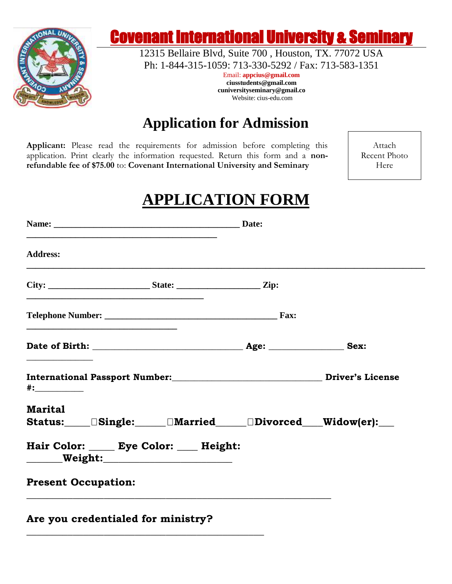

# Covenant International University & Seminary

12315 Bellaire Blvd, Suite 700 , Houston, TX. 77072 USA Ph: 1-844-315-1059: 713-330-5292 / Fax: 713-583-1351

> Email: **appcius@gmail.com ciusstudents@gmail.com cuniversityseminary@gmail.co** Website: cius-edu.com

## **Application for Admission**

**Applicant:** Please read the requirements for admission before completing this application. Print clearly the information requested. Return this form and a **nonrefundable fee of \$75.00** to: **Covenant International University and Seminary**

Attach Recent Photo Here

# **APPLICATION FORM**

| Name: Date:                                                                                                          |                                                                                  |  |
|----------------------------------------------------------------------------------------------------------------------|----------------------------------------------------------------------------------|--|
| <b>Address:</b>                                                                                                      |                                                                                  |  |
|                                                                                                                      |                                                                                  |  |
| <u> 1989 - Johann Stein, marwolaethau a bhann an t-Amhair ann an t-Amhair an t-Amhair an t-Amhair an t-Amhair an</u> |                                                                                  |  |
|                                                                                                                      |                                                                                  |  |
| International Passport Number:<br><u> License</u> Driver's License<br>#:______________                               |                                                                                  |  |
| <b>Marital</b><br>Status: Status: Single: Married Divorced Widow(er):                                                |                                                                                  |  |
| Hair Color: _____ Eye Color: ____ Height:                                                                            |                                                                                  |  |
| <b>Present Occupation:</b>                                                                                           | ,我们也不会有什么。""我们的人,我们也不会有什么?""我们的人,我们也不会有什么?""我们的人,我们也不会有什么?""我们的人,我们也不会有什么?""我们的人 |  |
| Are you credentialed for ministry?                                                                                   |                                                                                  |  |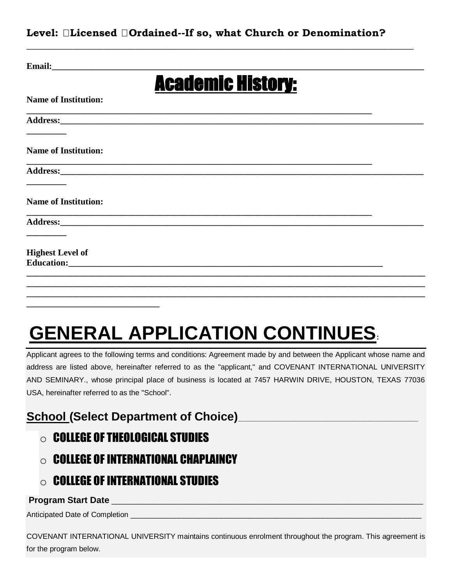#### **Level: Licensed Ordained--If so, what Church or Denomination?**

**\_\_\_\_\_\_\_\_\_\_\_\_\_\_\_\_\_\_\_\_\_\_\_\_\_\_\_\_\_\_\_\_\_\_\_\_\_\_\_\_\_\_\_\_\_\_\_\_\_\_\_\_\_\_\_\_\_\_\_\_\_\_\_\_\_\_\_\_\_\_\_\_\_\_\_**

| Email:                      |                                                                                                                                                                                                                                     |  |
|-----------------------------|-------------------------------------------------------------------------------------------------------------------------------------------------------------------------------------------------------------------------------------|--|
|                             | <b>Academic History:</b>                                                                                                                                                                                                            |  |
| <b>Name of Institution:</b> |                                                                                                                                                                                                                                     |  |
|                             |                                                                                                                                                                                                                                     |  |
| <b>Name of Institution:</b> |                                                                                                                                                                                                                                     |  |
|                             |                                                                                                                                                                                                                                     |  |
| <b>Name of Institution:</b> |                                                                                                                                                                                                                                     |  |
|                             |                                                                                                                                                                                                                                     |  |
| <b>Highest Level of</b>     | <b>Education:</b> The contract of the contract of the contract of the contract of the contract of the contract of the contract of the contract of the contract of the contract of the contract of the contract of the contract of t |  |
|                             |                                                                                                                                                                                                                                     |  |
|                             |                                                                                                                                                                                                                                     |  |

# **GENERAL APPLICATION CONTINUES:**

Applicant agrees to the following terms and conditions: Agreement made by and between the Applicant whose name and address are listed above, hereinafter referred to as the "applicant," and COVENANT INTERNATIONAL UNIVERSITY AND SEMINARY., whose principal place of business is located at 7457 HARWIN DRIVE, HOUSTON, TEXAS 77036 USA, hereinafter referred to as the "School".

### **School (Select Department of Choice)**

 $\circ$  college of theological studies

**\_\_\_\_\_\_\_\_\_\_\_\_\_\_\_\_\_\_\_\_\_\_\_\_\_\_\_\_\_\_** 

- $\circ$  college of international chaplaincy
- $\circ$  College of International Studies

#### **Program Start Date Later and Start Automatic Start Automatic Start Automatic Start Automatic Start Automatic Start Automatic Start Automatic Start Automatic Start Automatic Start Automatic Start Automatic Start Automati**

Anticipated Date of Completion \_\_\_\_\_\_\_\_\_\_\_\_\_\_\_\_\_\_\_\_\_\_\_\_\_\_\_\_\_\_\_\_\_\_\_\_\_\_\_\_\_\_\_\_\_\_\_\_\_\_\_\_\_\_\_\_\_\_\_\_\_\_\_\_\_\_\_\_\_\_\_

COVENANT INTERNATIONAL UNIVERSITY maintains continuous enrolment throughout the program. This agreement is for the program below.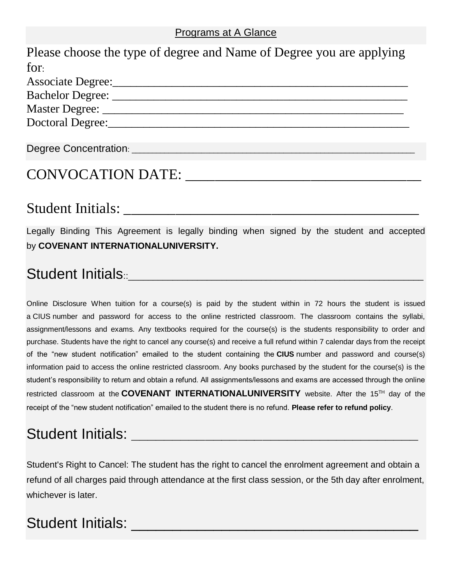#### Programs at A Glance

| Please choose the type of degree and Name of Degree you are applying |
|----------------------------------------------------------------------|
| for:                                                                 |
| <b>Associate Degree:</b>                                             |
| Bachelor Degree:                                                     |
| Master Degree: __                                                    |
| <b>Doctoral Degree:</b>                                              |
|                                                                      |

## CONVOCATION DATE:

Degree Concentration: \_\_\_\_\_\_\_\_\_\_\_\_\_\_\_\_\_\_\_\_\_\_\_\_\_\_\_\_\_\_\_\_\_\_\_\_\_\_\_\_\_\_\_\_\_\_\_\_\_\_\_\_\_\_\_\_\_\_\_\_\_\_\_\_\_\_\_\_\_

### Student Initials:

Legally Binding This Agreement is legally binding when signed by the student and accepted by **COVENANT INTERNATIONALUNIVERSITY.**

# Student Initials<sup>..</sup>

Online Disclosure When tuition for a course(s) is paid by the student within in 72 hours the student is issued a CIUS number and password for access to the online restricted classroom. The classroom contains the syllabi, assignment/lessons and exams. Any textbooks required for the course(s) is the students responsibility to order and purchase. Students have the right to cancel any course(s) and receive a full refund within 7 calendar days from the receipt of the "new student notification" emailed to the student containing the **CIUS** number and password and course(s) information paid to access the online restricted classroom. Any books purchased by the student for the course(s) is the student's responsibility to return and obtain a refund. All assignments/lessons and exams are accessed through the online restricted classroom at the **COVENANT INTERNATIONALUNIVERSITY** website. After the 15TH day of the receipt of the "new student notification" emailed to the student there is no refund. **Please refer to refund policy**.

# Student Initials: **We**

Student's Right to Cancel: The student has the right to cancel the enrolment agreement and obtain a refund of all charges paid through attendance at the first class session, or the 5th day after enrolment, whichever is later.

# Student Initials: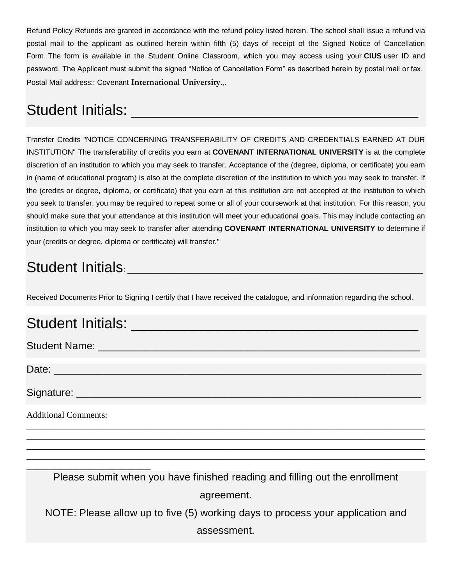Refund Policy Refunds are granted in accordance with the refund policy listed herein. The school shall issue a refund via postal mail to the applicant as outlined herein within fifth (5) days of receipt of the Signed Notice of Cancellation Form. The form is available in the Student Online Classroom, which you may access using your **CIUS** user ID and password. The Applicant must submit the signed "Notice of Cancellation Form" as described herein by postal mail or fax. Postal Mail address:: Covenant **International University**.,.

# Student Initials: **We arrive that**

Transfer Credits "NOTICE CONCERNING TRANSFERABILITY OF CREDITS AND CREDENTIALS EARNED AT OUR INSTITUTION" The transferability of credits you earn at **COVENANT INTERNATIONAL UNIVERSITY** is at the complete discretion of an institution to which you may seek to transfer. Acceptance of the (degree, diploma, or certificate) you earn in (name of educational program) is also at the complete discretion of the institution to which you may seek to transfer. If the (credits or degree, diploma, or certificate) that you earn at this institution are not accepted at the institution to which you seek to transfer, you may be required to repeat some or all of your coursework at that institution. For this reason, you should make sure that your attendance at this institution will meet your educational goals. This may include contacting an institution to which you may seek to transfer after attending **COVENANT INTERNATIONAL UNIVERSITY** to determine if your (credits or degree, diploma or certificate) will transfer."

# Student Initials: **Student**

Received Documents Prior to Signing I certify that I have received the catalogue, and information regarding the school.

# Student Initials: \_\_\_\_\_\_\_\_\_\_\_\_\_\_\_\_\_\_\_\_\_\_\_\_\_\_\_\_\_\_\_\_\_\_\_

Student Name: \_\_\_\_\_\_\_\_\_\_\_\_\_\_\_\_\_\_\_\_\_\_\_\_\_\_\_\_\_\_\_\_\_\_\_\_\_\_\_\_\_\_\_\_\_\_\_\_\_\_\_\_\_\_\_\_

Date: \_\_\_\_\_\_\_\_\_\_\_\_\_\_\_\_\_\_\_\_\_\_\_\_\_\_\_\_\_\_\_\_\_\_\_\_\_\_\_\_\_\_\_\_\_\_\_\_\_\_\_\_\_\_\_\_\_\_\_\_\_\_\_\_

Signature: \_\_\_\_\_\_\_\_\_\_\_\_\_\_\_\_\_\_\_\_\_\_\_\_\_\_\_\_\_\_\_\_\_\_\_\_\_\_\_\_\_\_\_\_\_\_\_\_\_\_\_\_\_\_\_\_\_\_\_\_

Additional Comments:

\_\_\_\_\_\_\_\_\_\_\_\_\_\_\_\_\_\_\_\_\_\_\_\_\_\_\_\_

Please submit when you have finished reading and filling out the enrollment agreement.

\_\_\_\_\_\_\_\_\_\_\_\_\_\_\_\_\_\_\_\_\_\_\_\_\_\_\_\_\_\_\_\_\_\_\_\_\_\_\_\_\_\_\_\_\_\_\_\_\_\_\_\_\_\_\_\_\_\_\_\_\_\_\_\_\_\_\_\_\_\_\_\_\_\_\_\_\_\_\_\_\_\_\_\_\_\_\_\_\_\_ \_\_\_\_\_\_\_\_\_\_\_\_\_\_\_\_\_\_\_\_\_\_\_\_\_\_\_\_\_\_\_\_\_\_\_\_\_\_\_\_\_\_\_\_\_\_\_\_\_\_\_\_\_\_\_\_\_\_\_\_\_\_\_\_\_\_\_\_\_\_\_\_\_\_\_\_\_\_\_\_\_\_\_\_\_\_\_\_\_\_ \_\_\_\_\_\_\_\_\_\_\_\_\_\_\_\_\_\_\_\_\_\_\_\_\_\_\_\_\_\_\_\_\_\_\_\_\_\_\_\_\_\_\_\_\_\_\_\_\_\_\_\_\_\_\_\_\_\_\_\_\_\_\_\_\_\_\_\_\_\_\_\_\_\_\_\_\_\_\_\_\_\_\_\_\_\_\_\_\_\_ \_\_\_\_\_\_\_\_\_\_\_\_\_\_\_\_\_\_\_\_\_\_\_\_\_\_\_\_\_\_\_\_\_\_\_\_\_\_\_\_\_\_\_\_\_\_\_\_\_\_\_\_\_\_\_\_\_\_\_\_\_\_\_\_\_\_\_\_\_\_\_\_\_\_\_\_\_\_\_\_\_\_\_\_\_\_\_\_\_\_

NOTE: Please allow up to five (5) working days to process your application and

assessment.